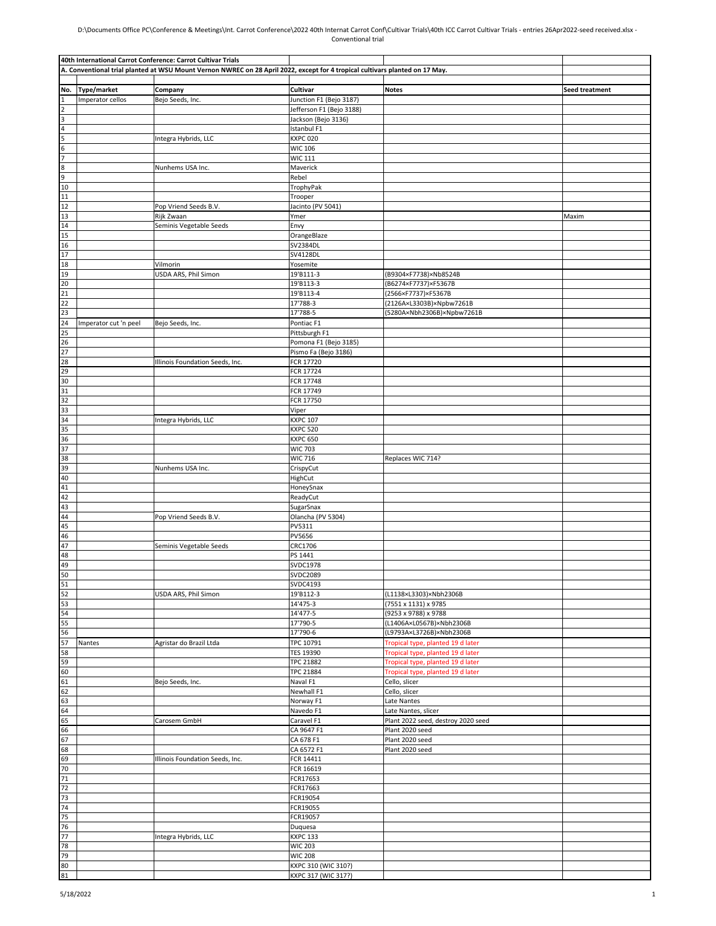## D:\Documents Office PC\Conference & Meetings\Int. Carrot Conference\2022 40th Internat Carrot Conf\Cultivar Trials\40th ICC Carrot Cultivar Trials - entries 26Apr2022-seed received.xlsx - Conventional trial

|                                                                        |                       | 40th International Carrot Conference: Carrot Cultivar Trials                                                                 |                                        |                                    |                |
|------------------------------------------------------------------------|-----------------------|------------------------------------------------------------------------------------------------------------------------------|----------------------------------------|------------------------------------|----------------|
|                                                                        |                       | A. Conventional trial planted at WSU Mount Vernon NWREC on 28 April 2022, except for 4 tropical cultivars planted on 17 May. |                                        |                                    |                |
|                                                                        |                       |                                                                                                                              |                                        |                                    |                |
| No.                                                                    | Type/market           | Company                                                                                                                      | Cultivar                               | <b>Notes</b>                       | Seed treatment |
| $\mathbf{1}$                                                           | Imperator cellos      | Bejo Seeds, Inc.                                                                                                             | Junction F1 (Bejo 3187)                |                                    |                |
| $\overline{\mathbf{c}}$                                                |                       |                                                                                                                              | Jefferson F1 (Bejo 3188)               |                                    |                |
|                                                                        |                       |                                                                                                                              | Jackson (Bejo 3136)                    |                                    |                |
|                                                                        |                       |                                                                                                                              | Istanbul F1                            |                                    |                |
|                                                                        |                       | Integra Hybrids, LLC                                                                                                         | <b>KXPC 020</b>                        |                                    |                |
|                                                                        |                       |                                                                                                                              | <b>WIC 106</b>                         |                                    |                |
| $\frac{3}{4}$ $\frac{4}{5}$ $\frac{5}{8}$ $\frac{6}{9}$ $\frac{9}{10}$ |                       |                                                                                                                              | <b>WIC 111</b>                         |                                    |                |
|                                                                        |                       | Nunhems USA Inc.                                                                                                             | Maverick                               |                                    |                |
|                                                                        |                       |                                                                                                                              | Rebel                                  |                                    |                |
|                                                                        |                       |                                                                                                                              | TrophyPak                              |                                    |                |
| 11                                                                     |                       |                                                                                                                              | Trooper                                |                                    |                |
| 12                                                                     |                       | Pop Vriend Seeds B.V.                                                                                                        | Jacinto (PV 5041)                      |                                    |                |
| 13                                                                     |                       | Rijk Zwaan                                                                                                                   | Ymer                                   |                                    | Maxim          |
| 14                                                                     |                       | Seminis Vegetable Seeds                                                                                                      | Envy                                   |                                    |                |
| 15                                                                     |                       |                                                                                                                              | OrangeBlaze                            |                                    |                |
| 16                                                                     |                       |                                                                                                                              | SV2384DL                               |                                    |                |
| 17                                                                     |                       |                                                                                                                              | <b>SV4128DL</b>                        |                                    |                |
| 18                                                                     |                       | Vilmorin                                                                                                                     | Yosemite                               |                                    |                |
| 19                                                                     |                       | USDA ARS, Phil Simon                                                                                                         | 19'B111-3                              | (B9304×F7738)×Nb8524B              |                |
| 20                                                                     |                       |                                                                                                                              | 19'B113-3                              | (B6274×F7737)×F5367B               |                |
| 21                                                                     |                       |                                                                                                                              | 19'B113-4                              | (2566×F7737)×F5367B                |                |
| 22                                                                     |                       |                                                                                                                              | 17'788-3                               | (2126A×L3303B)×Npbw7261B           |                |
| 23                                                                     |                       |                                                                                                                              | 17'788-5                               | (5280A×Nbh2306B)×Npbw7261B         |                |
| $\overline{24}$                                                        |                       |                                                                                                                              |                                        |                                    |                |
|                                                                        | Imperator cut 'n peel | Bejo Seeds, Inc.                                                                                                             | Pontiac <sub>F1</sub>                  |                                    |                |
|                                                                        |                       |                                                                                                                              | Pittsburgh F1<br>Pomona F1 (Bejo 3185) |                                    |                |
| 25<br>26<br>27<br>28                                                   |                       |                                                                                                                              |                                        |                                    |                |
|                                                                        |                       |                                                                                                                              | Pismo Fa (Bejo 3186)<br>FCR 17720      |                                    |                |
|                                                                        |                       | Illinois Foundation Seeds, Inc.                                                                                              | FCR 17724                              |                                    |                |
| $\frac{29}{30}$<br>$\frac{31}{32}$                                     |                       |                                                                                                                              |                                        |                                    |                |
|                                                                        |                       |                                                                                                                              | FCR 17748                              |                                    |                |
|                                                                        |                       |                                                                                                                              | FCR 17749<br>FCR 17750                 |                                    |                |
| 33                                                                     |                       |                                                                                                                              | Viper                                  |                                    |                |
| 34                                                                     |                       | Integra Hybrids, LLC                                                                                                         | <b>KXPC 107</b>                        |                                    |                |
| 35                                                                     |                       |                                                                                                                              | <b>KXPC 520</b>                        |                                    |                |
| 36                                                                     |                       |                                                                                                                              | <b>KXPC 650</b>                        |                                    |                |
| 37                                                                     |                       |                                                                                                                              | <b>WIC 703</b>                         |                                    |                |
| 38                                                                     |                       |                                                                                                                              | <b>WIC 716</b>                         | Replaces WIC 714?                  |                |
| 39                                                                     |                       | Nunhems USA Inc.                                                                                                             | CrispyCut                              |                                    |                |
| 40                                                                     |                       |                                                                                                                              | HighCut                                |                                    |                |
| 41                                                                     |                       |                                                                                                                              | HoneySnax                              |                                    |                |
| 42                                                                     |                       |                                                                                                                              | ReadyCut                               |                                    |                |
| 43                                                                     |                       |                                                                                                                              | SugarSnax                              |                                    |                |
| 44                                                                     |                       | Pop Vriend Seeds B.V.                                                                                                        | Olancha (PV 5304)                      |                                    |                |
| 45                                                                     |                       |                                                                                                                              | PV5311                                 |                                    |                |
| 46                                                                     |                       |                                                                                                                              | <b>PV5656</b>                          |                                    |                |
| 47                                                                     |                       | Seminis Vegetable Seeds                                                                                                      | CRC1706                                |                                    |                |
| 48                                                                     |                       |                                                                                                                              | PS 1441                                |                                    |                |
|                                                                        |                       |                                                                                                                              | <b>SVDC1978</b>                        |                                    |                |
| $\frac{49}{50}$                                                        |                       |                                                                                                                              | <b>SVDC2089</b>                        |                                    |                |
|                                                                        |                       |                                                                                                                              | <b>SVDC4193</b>                        |                                    |                |
| $\frac{51}{52}$                                                        |                       | USDA ARS, Phil Simon                                                                                                         | 19'B112-3                              | (L1138×L3303)×Nbh2306B             |                |
|                                                                        |                       |                                                                                                                              | 14'475-3                               | (7551 x 1131) x 9785               |                |
| $\frac{53}{54}$                                                        |                       |                                                                                                                              | 14'477-5                               | (9253 x 9788) x 9788               |                |
| 55                                                                     |                       |                                                                                                                              | 17'790-5                               | (L1406A×L0567B)×Nbh2306B           |                |
| 56                                                                     |                       |                                                                                                                              | 17'790-6                               | (L9793A×L3726B)×Nbh2306B           |                |
| 57                                                                     | Nantes                | Agristar do Brazil Ltda                                                                                                      | TPC 10791                              | Tropical type, planted 19 d later  |                |
| 58                                                                     |                       |                                                                                                                              | <b>TES 19390</b>                       | Tropical type, planted 19 d later  |                |
| 59                                                                     |                       |                                                                                                                              | <b>TPC 21882</b>                       | Tropical type, planted 19 d later  |                |
| 60                                                                     |                       |                                                                                                                              | <b>TPC 21884</b>                       | Tropical type, planted 19 d later  |                |
|                                                                        |                       | Bejo Seeds, Inc.                                                                                                             | Naval F1                               | Cello, slicer                      |                |
| $\frac{61}{62}$                                                        |                       |                                                                                                                              | Newhall F1                             | Cello, slicer                      |                |
|                                                                        |                       |                                                                                                                              | Norway F1                              | Late Nantes                        |                |
| 63<br>64                                                               |                       |                                                                                                                              | Navedo F1                              | Late Nantes, slicer                |                |
| 65                                                                     |                       | Carosem GmbH                                                                                                                 | Caravel F1                             | Plant 2022 seed, destroy 2020 seed |                |
| 66                                                                     |                       |                                                                                                                              | CA 9647 F1                             | Plant 2020 seed                    |                |
| 67                                                                     |                       |                                                                                                                              | CA 678 F1                              | Plant 2020 seed                    |                |
| 68                                                                     |                       |                                                                                                                              | CA 6572 F1                             | Plant 2020 seed                    |                |
| 69                                                                     |                       | Illinois Foundation Seeds, Inc.                                                                                              | FCR 14411                              |                                    |                |
| 70                                                                     |                       |                                                                                                                              | FCR 16619                              |                                    |                |
| $\overline{71}$                                                        |                       |                                                                                                                              | FCR17653                               |                                    |                |
| 72                                                                     |                       |                                                                                                                              | FCR17663                               |                                    |                |
| 73                                                                     |                       |                                                                                                                              | FCR19054                               |                                    |                |
| 74                                                                     |                       |                                                                                                                              | FCR19055                               |                                    |                |
| 75                                                                     |                       |                                                                                                                              | FCR19057                               |                                    |                |
| 76                                                                     |                       |                                                                                                                              | Duquesa                                |                                    |                |
| $\frac{77}{78}$                                                        |                       | Integra Hybrids, LLC                                                                                                         | <b>KXPC 133</b>                        |                                    |                |
|                                                                        |                       |                                                                                                                              | <b>WIC 203</b>                         |                                    |                |
| 79<br>80                                                               |                       |                                                                                                                              | <b>WIC 208</b>                         |                                    |                |
|                                                                        |                       |                                                                                                                              | KXPC 310 (WIC 310?)                    |                                    |                |
| 81                                                                     |                       |                                                                                                                              | KXPC 317 (WIC 317?)                    |                                    |                |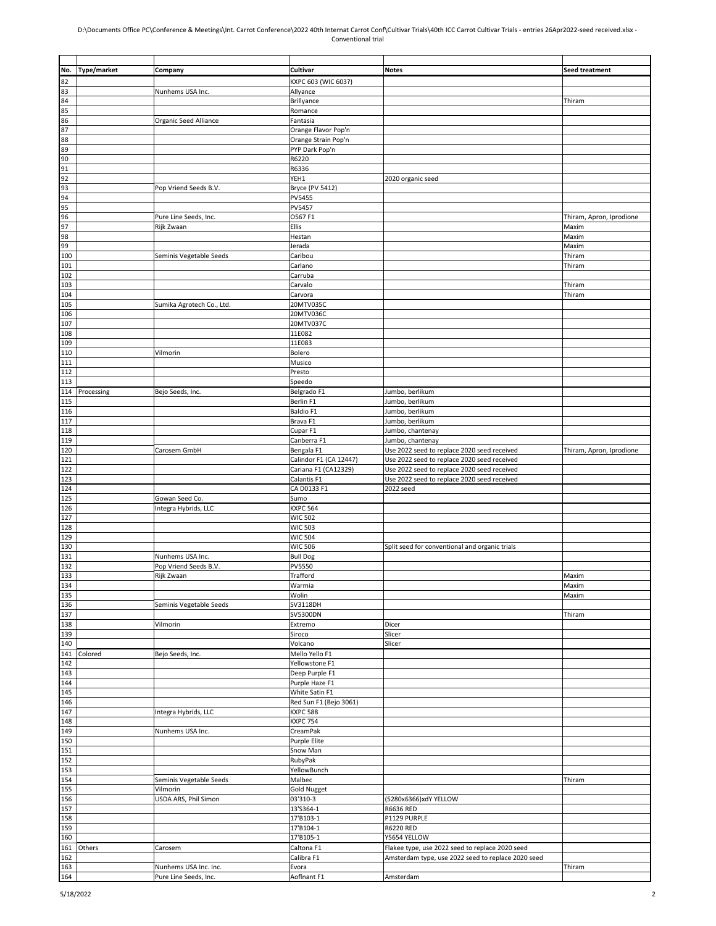## D:\Documents Office PC\Conference & Meetings\Int. Carrot Conference\2022 40th Internat Carrot Conf\Cultivar Trials\40th ICC Carrot Cultivar Trials - entries 26Apr2022-seed received.xlsx - Conventional trial

| No. | Type/market | Company                   | Cultivar               | <b>Notes</b>                                       | Seed treatment           |
|-----|-------------|---------------------------|------------------------|----------------------------------------------------|--------------------------|
| 82  |             |                           | KXPC 603 (WIC 603?)    |                                                    |                          |
| 83  |             | Nunhems USA Inc.          | Allyance               |                                                    |                          |
| 84  |             |                           | Brillyance             |                                                    | Thiram                   |
|     |             |                           |                        |                                                    |                          |
| 85  |             |                           | Romance                |                                                    |                          |
| 86  |             | Organic Seed Alliance     | Fantasia               |                                                    |                          |
| 87  |             |                           | Orange Flavor Pop'n    |                                                    |                          |
| 88  |             |                           | Orange Strain Pop'n    |                                                    |                          |
| 89  |             |                           |                        |                                                    |                          |
|     |             |                           | PYP Dark Pop'n         |                                                    |                          |
| 90  |             |                           | R6220                  |                                                    |                          |
| 91  |             |                           | R6336                  |                                                    |                          |
| 92  |             |                           | YEH1                   | 2020 organic seed                                  |                          |
| 93  |             | Pop Vriend Seeds B.V.     | <b>Bryce (PV 5412)</b> |                                                    |                          |
| 94  |             |                           | <b>PV5455</b>          |                                                    |                          |
|     |             |                           |                        |                                                    |                          |
| 95  |             |                           | PV5457                 |                                                    |                          |
| 96  |             | Pure Line Seeds, Inc.     | O567 F1                |                                                    | Thiram, Apron, Iprodione |
| 97  |             | Rijk Zwaan                | <b>Ellis</b>           |                                                    | Maxim                    |
| 98  |             |                           | Hestan                 |                                                    | Maxim                    |
|     |             |                           |                        |                                                    |                          |
| 99  |             |                           | Jerada                 |                                                    | Maxim                    |
| 100 |             | Seminis Vegetable Seeds   | Caribou                |                                                    | Thiram                   |
| 101 |             |                           | Carlano                |                                                    | Thiram                   |
| 102 |             |                           | Carruba                |                                                    |                          |
|     |             |                           |                        |                                                    |                          |
| 103 |             |                           | Carvalo                |                                                    | Thiram                   |
| 104 |             |                           | Carvora                |                                                    | Thiram                   |
| 105 |             | Sumika Agrotech Co., Ltd. | 20MTV035C              |                                                    |                          |
| 106 |             |                           | 20MTV036C              |                                                    |                          |
|     |             |                           |                        |                                                    |                          |
| 107 |             |                           | 20MTV037C              |                                                    |                          |
| 108 |             |                           | 11E082                 |                                                    |                          |
| 109 |             |                           | 11E083                 |                                                    |                          |
| 110 |             | Vilmorin                  | Bolero                 |                                                    |                          |
|     |             |                           |                        |                                                    |                          |
| 111 |             |                           | Musico                 |                                                    |                          |
| 112 |             |                           | Presto                 |                                                    |                          |
| 113 |             |                           | Speedo                 |                                                    |                          |
|     |             |                           |                        |                                                    |                          |
| 114 | Processing  | Bejo Seeds, Inc.          | Belgrado F1            | Jumbo, berlikum                                    |                          |
| 115 |             |                           | Berlin F1              | Jumbo, berlikum                                    |                          |
| 116 |             |                           | Baldio F1              | Jumbo, berlikum                                    |                          |
| 117 |             |                           | Brava F1               | Jumbo, berlikum                                    |                          |
|     |             |                           |                        |                                                    |                          |
| 118 |             |                           | Cupar F1               | Jumbo, chantenay                                   |                          |
| 119 |             |                           | Canberra F1            | Jumbo, chantenay                                   |                          |
| 120 |             | Carosem GmbH              | Bengala F1             | Use 2022 seed to replace 2020 seed received        | Thiram, Apron, Iprodione |
| 121 |             |                           | Calindor F1 (CA 12447) | Use 2022 seed to replace 2020 seed received        |                          |
|     |             |                           |                        |                                                    |                          |
| 122 |             |                           | Cariana F1 (CA12329)   | Use 2022 seed to replace 2020 seed received        |                          |
| 123 |             |                           | Calantis F1            | Use 2022 seed to replace 2020 seed received        |                          |
| 124 |             |                           | CA D0133 F1            | 2022 seed                                          |                          |
|     |             |                           |                        |                                                    |                          |
| 125 |             | Gowan Seed Co.            | Sumo                   |                                                    |                          |
| 126 |             | Integra Hybrids, LLC      | <b>KXPC 564</b>        |                                                    |                          |
| 127 |             |                           | <b>WIC 502</b>         |                                                    |                          |
| 128 |             |                           | <b>WIC 503</b>         |                                                    |                          |
| 129 |             |                           | <b>WIC 504</b>         |                                                    |                          |
|     |             |                           |                        |                                                    |                          |
| 130 |             |                           | <b>WIC 506</b>         | Split seed for conventional and organic trials     |                          |
| 131 |             | Nunhems USA Inc.          | <b>Bull Dog</b>        |                                                    |                          |
| 132 |             | Pop Vriend Seeds B.V.     | <b>PV5550</b>          |                                                    |                          |
| 133 |             |                           |                        |                                                    |                          |
|     |             | Rijk Zwaan                | Trafford               |                                                    | Maxim                    |
| 134 |             |                           | Warmia                 |                                                    | Maxim                    |
| 135 |             |                           | Wolin                  |                                                    | Maxim                    |
| 136 |             | Seminis Vegetable Seeds   | SV3118DH               |                                                    |                          |
|     |             |                           | SV5300DN               |                                                    |                          |
| 137 |             |                           |                        |                                                    | Thiram                   |
| 138 |             | Vilmorin                  | Extremo                | Dicer                                              |                          |
| 139 |             |                           | Siroco                 | Slicer                                             |                          |
| 140 |             |                           | Volcano                | Slicer                                             |                          |
|     | Colored     | Bejo Seeds, Inc.          | Mello Yello F1         |                                                    |                          |
| 141 |             |                           |                        |                                                    |                          |
| 142 |             |                           | Yellowstone F1         |                                                    |                          |
| 143 |             |                           | Deep Purple F1         |                                                    |                          |
| 144 |             |                           | Purple Haze F1         |                                                    |                          |
| 145 |             |                           | White Satin F1         |                                                    |                          |
|     |             |                           |                        |                                                    |                          |
| 146 |             |                           | Red Sun F1 (Bejo 3061) |                                                    |                          |
| 147 |             | Integra Hybrids, LLC      | <b>KXPC 588</b>        |                                                    |                          |
| 148 |             |                           | <b>KXPC 754</b>        |                                                    |                          |
|     |             |                           |                        |                                                    |                          |
| 149 |             | Nunhems USA Inc.          | CreamPak               |                                                    |                          |
| 150 |             |                           | <b>Purple Elite</b>    |                                                    |                          |
| 151 |             |                           | Snow Man               |                                                    |                          |
| 152 |             |                           | RubyPak                |                                                    |                          |
|     |             |                           |                        |                                                    |                          |
| 153 |             |                           | YellowBunch            |                                                    |                          |
| 154 |             | Seminis Vegetable Seeds   | Malbec                 |                                                    | Thiram                   |
| 155 |             | Vilmorin                  | <b>Gold Nugget</b>     |                                                    |                          |
| 156 |             | USDA ARS, Phil Simon      | 03'310-3               | (5280x6366)xdY YELLOW                              |                          |
|     |             |                           |                        |                                                    |                          |
| 157 |             |                           | 13'S364-1              | R6636 RED                                          |                          |
| 158 |             |                           | 17'B103-1              | P1129 PURPLE                                       |                          |
| 159 |             |                           | 17'B104-1              | R6220 RED                                          |                          |
| 160 |             |                           | 17'B105-1              | Y5654 YELLOW                                       |                          |
|     |             |                           |                        |                                                    |                          |
| 161 | Others      | Carosem                   | Caltona F1             | Flakee type, use 2022 seed to replace 2020 seed    |                          |
| 162 |             |                           | Calibra F1             | Amsterdam type, use 2022 seed to replace 2020 seed |                          |
| 163 |             | Nunhems USA Inc. Inc.     | Evora                  |                                                    | Thiram                   |
| 164 |             | Pure Line Seeds, Inc.     | Aoflnant F1            | Amsterdam                                          |                          |
|     |             |                           |                        |                                                    |                          |